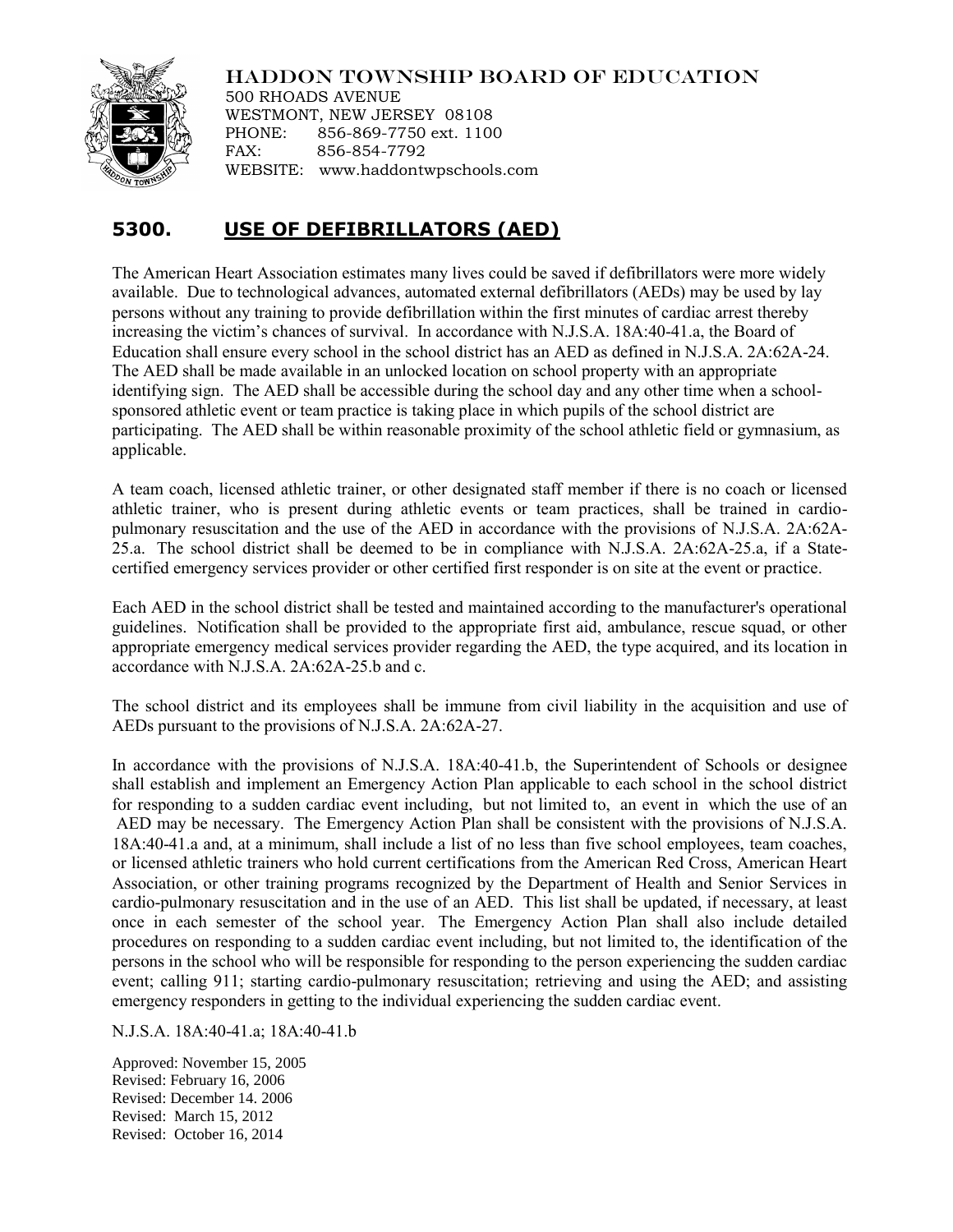## HADDON TOWNSHIP BOARD OF EDUCATION



500 RHOADS AVENUE WESTMONT, NEW JERSEY 08108 PHONE: 856-869-7750 ext. 1100 FAX: 856-854-7792 WEBSITE: www.haddontwpschools.com

## **5300. USE OF DEFIBRILLATORS (AED)**

The American Heart Association estimates many lives could be saved if defibrillators were more widely available. Due to technological advances, automated external defibrillators (AEDs) may be used by lay persons without any training to provide defibrillation within the first minutes of cardiac arrest thereby increasing the victim's chances of survival. In accordance with N.J.S.A. 18A:40-41.a, the Board of Education shall ensure every school in the school district has an AED as defined in N.J.S.A. 2A:62A-24. The AED shall be made available in an unlocked location on school property with an appropriate identifying sign. The AED shall be accessible during the school day and any other time when a schoolsponsored athletic event or team practice is taking place in which pupils of the school district are participating. The AED shall be within reasonable proximity of the school athletic field or gymnasium, as applicable.

A team coach, licensed athletic trainer, or other designated staff member if there is no coach or licensed athletic trainer, who is present during athletic events or team practices, shall be trained in cardiopulmonary resuscitation and the use of the AED in accordance with the provisions of N.J.S.A. 2A:62A-25.a. The school district shall be deemed to be in compliance with N.J.S.A. 2A:62A-25.a, if a Statecertified emergency services provider or other certified first responder is on site at the event or practice.

Each AED in the school district shall be tested and maintained according to the manufacturer's operational guidelines. Notification shall be provided to the appropriate first aid, ambulance, rescue squad, or other appropriate emergency medical services provider regarding the AED, the type acquired, and its location in accordance with N.J.S.A. 2A:62A-25.b and c.

The school district and its employees shall be immune from civil liability in the acquisition and use of AEDs pursuant to the provisions of N.J.S.A. 2A:62A-27.

In accordance with the provisions of N.J.S.A. 18A:40-41.b, the Superintendent of Schools or designee shall establish and implement an Emergency Action Plan applicable to each school in the school district for responding to a sudden cardiac event including, but not limited to, an event in which the use of an AED may be necessary. The Emergency Action Plan shall be consistent with the provisions of N.J.S.A. 18A:40-41.a and, at a minimum, shall include a list of no less than five school employees, team coaches, or licensed athletic trainers who hold current certifications from the American Red Cross, American Heart Association, or other training programs recognized by the Department of Health and Senior Services in cardio-pulmonary resuscitation and in the use of an AED. This list shall be updated, if necessary, at least once in each semester of the school year. The Emergency Action Plan shall also include detailed procedures on responding to a sudden cardiac event including, but not limited to, the identification of the persons in the school who will be responsible for responding to the person experiencing the sudden cardiac event; calling 911; starting cardio-pulmonary resuscitation; retrieving and using the AED; and assisting emergency responders in getting to the individual experiencing the sudden cardiac event.

N.J.S.A. 18A:40-41.a; 18A:40-41.b

Approved: November 15, 2005 Revised: February 16, 2006 Revised: December 14. 2006 Revised: March 15, 2012 Revised: October 16, 2014